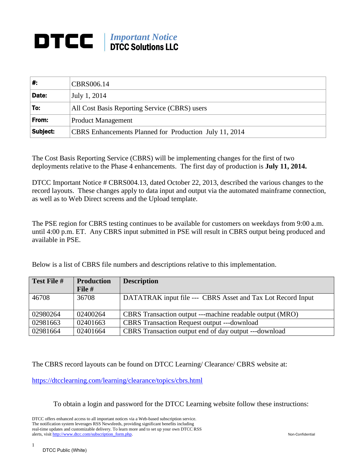## *Important Notice* DTCC Solutions LLC

| ∦.       | CBRS006.14                                             |  |
|----------|--------------------------------------------------------|--|
| Date:    | July 1, 2014                                           |  |
| To:      | All Cost Basis Reporting Service (CBRS) users          |  |
| From:    | <b>Product Management</b>                              |  |
| Subject: | CBRS Enhancements Planned for Production July 11, 2014 |  |

The Cost Basis Reporting Service (CBRS) will be implementing changes for the first of two deployments relative to the Phase 4 enhancements. The first day of production is **July 11, 2014.**

DTCC Important Notice # CBRS004.13, dated October 22, 2013, described the various changes to the record layouts. These changes apply to data input and output via the automated mainframe connection, as well as to Web Direct screens and the Upload template.

The PSE region for CBRS testing continues to be available for customers on weekdays from 9:00 a.m. until 4:00 p.m. ET. Any CBRS input submitted in PSE will result in CBRS output being produced and available in PSE.

Below is a list of CBRS file numbers and descriptions relative to this implementation.

| Test File # | <b>Production</b><br>File # | <b>Description</b>                                          |
|-------------|-----------------------------|-------------------------------------------------------------|
| 46708       | 36708                       | DATATRAK input file --- CBRS Asset and Tax Lot Record Input |
| 02980264    | 02400264                    | CBRS Transaction output ---machine readable output (MRO)    |
| 02981663    | 02401663                    | <b>CBRS</b> Transaction Request output ---download          |
| 02981664    | 02401664                    | CBRS Transaction output end of day output ---download       |

The CBRS record layouts can be found on DTCC Learning/ Clearance/ CBRS website at:

<https://dtcclearning.com/learning/clearance/topics/cbrs.html>

To obtain a login and password for the DTCC Learning website follow these instructions:

DTCC offers enhanced access to all important notices via a Web-based subscription service. The notification system leverages RSS Newsfeeds, providing significant benefits including real-time updates and customizable delivery. To learn more and to set up your own DTCC RSS alerts, visit http://www.dtcc.com/subscription\_form.php. Non-Confidential

1